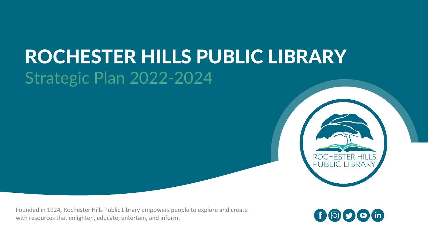#### ROCHESTER HILLS PUBLIC LIBRARY Strategic Plan 2022-2024



Founded in 1924, Rochester Hills Public Library empowers people to explore and create with resources that enlighten, educate, entertain, and inform.

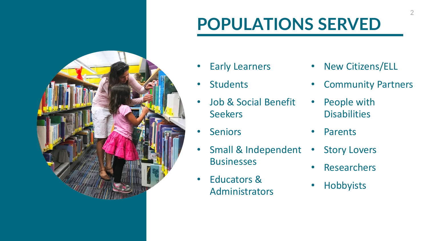#### **POPULATIONS SERVED**



- Early Learners
- Students
- Job & Social Benefit **Seekers**
- Seniors
- Small & Independent **Businesses**
- Educators & Administrators
- New Citizens/ELL
- Community Partners
- People with **Disabilities**
- Parents
- Story Lovers
- Researchers
- Hobbyists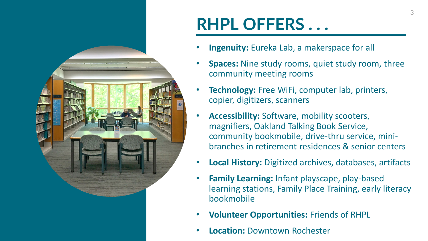

#### **RHPL OFFERS . . .**

- **Ingenuity:** Eureka Lab, a makerspace for all
- **Spaces:** Nine study rooms, quiet study room, three community meeting rooms
- **Technology:** Free WiFi, computer lab, printers, copier, digitizers, scanners
- **Accessibility:** Software, mobility scooters, magnifiers, Oakland Talking Book Service, community bookmobile, drive-thru service, minibranches in retirement residences & senior centers
- **Local History:** Digitized archives, databases, artifacts
- **Family Learning:** Infant playscape, play-based learning stations, Family Place Training, early literacy bookmobile
- **Volunteer Opportunities:** Friends of RHPL
- **Location:** Downtown Rochester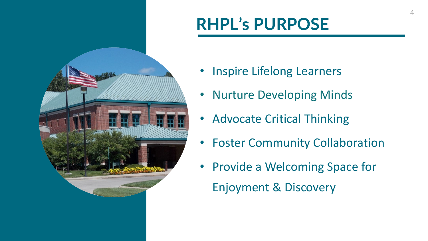#### **RHPL's PURPOSE**



- Inspire Lifelong Learners
- Nurture Developing Minds
- Advocate Critical Thinking
- Foster Community Collaboration
- Provide a Welcoming Space for Enjoyment & Discovery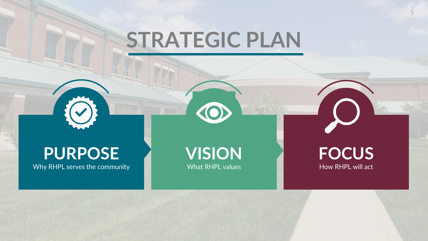# **STRATEGIC PLAN**

#### **PURPOSE**

Why RHPL serves the community

**VISION** What RHPL values

#### **FOCUS** How RHPL will act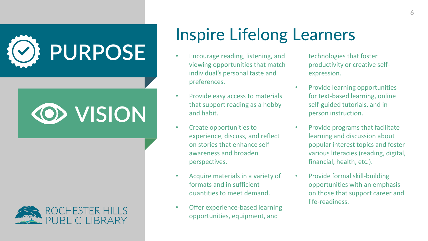





#### Inspire Lifelong Learners

- Encourage reading, listening, and viewing opportunities that match individual's personal taste and preferences.
- Provide easy access to materials that support reading as a hobby and habit.
- Create opportunities to experience, discuss, and reflect on stories that enhance selfawareness and broaden perspectives.
- Acquire materials in a variety of formats and in sufficient quantities to meet demand.
- Offer experience-based learning opportunities, equipment, and

technologies that foster productivity or creative selfexpression.

- Provide learning opportunities for text-based learning, online self-guided tutorials, and inperson instruction.
- Provide programs that facilitate learning and discussion about popular interest topics and foster various literacies (reading, digital, financial, health, etc.).
- Provide formal skill-building opportunities with an emphasis on those that support career and life-readiness.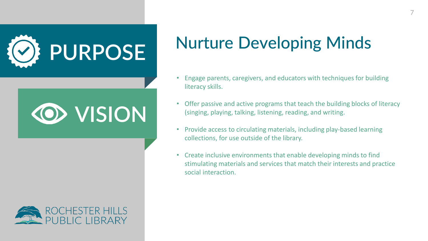





#### Nurture Developing Minds

- Engage parents, caregivers, and educators with techniques for building literacy skills.
- Offer passive and active programs that teach the building blocks of literacy (singing, playing, talking, listening, reading, and writing.
- Provide access to circulating materials, including play-based learning collections, for use outside of the library.
- Create inclusive environments that enable developing minds to find stimulating materials and services that match their interests and practice social interaction.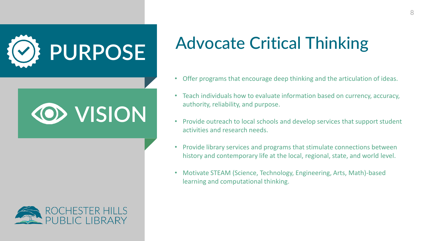





#### Advocate Critical Thinking

- Offer programs that encourage deep thinking and the articulation of ideas.
- Teach individuals how to evaluate information based on currency, accuracy, authority, reliability, and purpose.
- Provide outreach to local schools and develop services that support student activities and research needs.
- Provide library services and programs that stimulate connections between history and contemporary life at the local, regional, state, and world level.
- Motivate STEAM (Science, Technology, Engineering, Arts, Math)-based learning and computational thinking.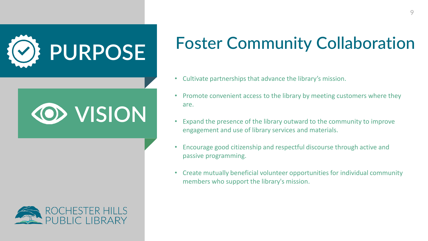

# **VISION**



#### Foster Community Collaboration

- Cultivate partnerships that advance the library's mission.
- Promote convenient access to the library by meeting customers where they are.
- Expand the presence of the library outward to the community to improve engagement and use of library services and materials.
- Encourage good citizenship and respectful discourse through active and passive programming.
- Create mutually beneficial volunteer opportunities for individual community members who support the library's mission.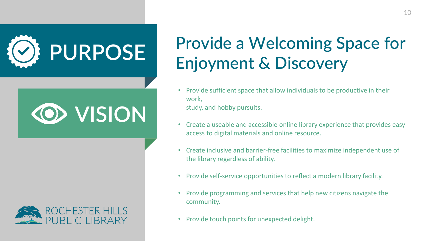





#### Provide a Welcoming Space for Enjoyment & Discovery

- Provide sufficient space that allow individuals to be productive in their work, study, and hobby pursuits.
- Create a useable and accessible online library experience that provides easy access to digital materials and online resource.
- Create inclusive and barrier-free facilities to maximize independent use of the library regardless of ability.
- Provide self-service opportunities to reflect a modern library facility.
- Provide programming and services that help new citizens navigate the community.
- Provide touch points for unexpected delight.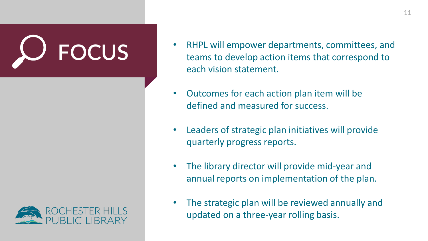

- **FOCUS** RHPL will empower departments, committees, and teams to develop action items that correspond to teams to develop action items that correspond to each vision statement.
	- Outcomes for each action plan item will be defined and measured for success.
	- Leaders of strategic plan initiatives will provide quarterly progress reports.
	- The library director will provide mid-year and annual reports on implementation of the plan.
	- The strategic plan will be reviewed annually and updated on a three-year rolling basis.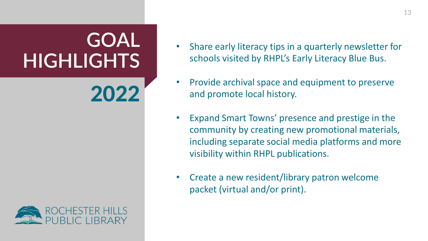## **GOAL HIGHLIGHTS**

2022



- Share early literacy tips in a quarterly newsletter for schools visited by RHPL's Early Literacy Blue Bus.
- Provide archival space and equipment to preserve and promote local history.
- Expand Smart Towns' presence and prestige in the community by creating new promotional materials, including separate social media platforms and more visibility within RHPL publications.
- Create a new resident/library patron welcome packet (virtual and/or print).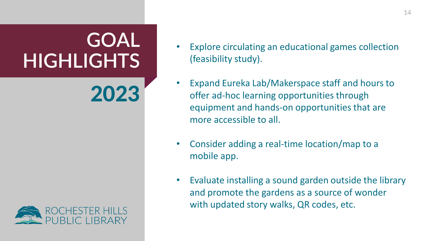## **GOAL HIGHLIGHTS**

2023



- Explore circulating an educational games collection (feasibility study).
- Expand Eureka Lab/Makerspace staff and hours to offer ad-hoc learning opportunities through equipment and hands-on opportunities that are more accessible to all.
- Consider adding a real-time location/map to a mobile app.
- Evaluate installing a sound garden outside the library and promote the gardens as a source of wonder with updated story walks, QR codes, etc.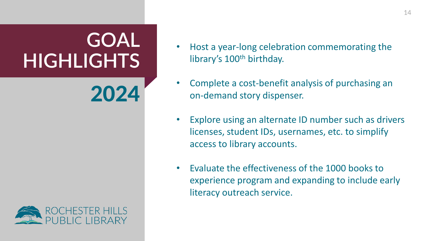## **GOAL HIGHLIGHTS**

2024



- Host a year-long celebration commemorating the library's 100<sup>th</sup> birthday.
- Complete a cost-benefit analysis of purchasing an on-demand story dispenser.
- Explore using an alternate ID number such as drivers licenses, student IDs, usernames, etc. to simplify access to library accounts.
- Evaluate the effectiveness of the 1000 books to experience program and expanding to include early literacy outreach service.